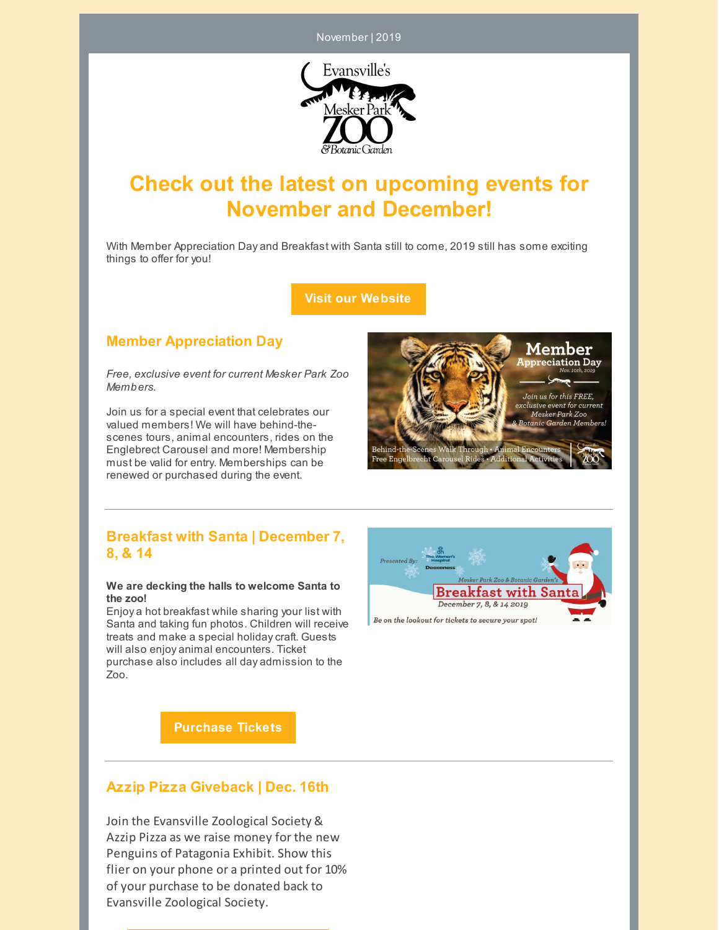November | 2019



# **Check out the latest on upcoming events for November and December!**

With Member Appreciation Day and Breakfast with Santa still to come, 2019 still has some exciting things to offer for you!

**Visit our [Website](https://www.meskerparkzoo.com/)**

## **Member Appreciation Day**

*Free, exclusive event for current Mesker Park Zoo Members.*

Join us for a special event that celebrates our valued members! We will have behind-thescenes tours, animal encounters, rides on the Englebrect Carousel and more! Membership must be valid for entry. Memberships can be renewed or purchased during the event.



## **Breakfast with Santa | December 7, 8, & 14**

#### **We are decking the halls to welcome Santa to the zoo!**

Enjoy a hot breakfast while sharing your list with Santa and taking fun photos. Children will receive treats and make a special holidaycraft. Guests will also enjoy animal encounters. Ticket purchase also includes all day admission to the Zoo.



**[Purchase](https://bwsanta2019.eventbrite.com/) Tickets**

# **Azzip Pizza Giveback | Dec. 16th**

Join the Evansville Zoological Society & Azzip Pizza as we raise money for the new Penguins of Patagonia Exhibit. Show this flier on your phone or a printed out for 10% of your purchase to be donated back to Evansville Zoological Society.